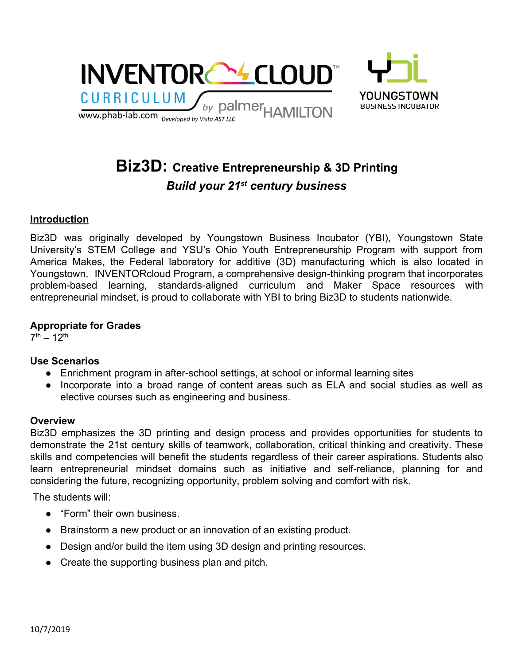

# **Biz3D: Creative Entrepreneurship & 3D Printing** *Build your 21 st century business*

### **Introduction**

Biz3D was originally developed by Youngstown Business Incubator (YBI), Youngstown State University's STEM College and YSU's Ohio Youth Entrepreneurship Program with support from America Makes, the Federal laboratory for additive (3D) manufacturing which is also located in Youngstown. INVENTORcloud Program, a comprehensive design-thinking program that incorporates problem-based learning, standards-aligned curriculum and Maker Space resources with entrepreneurial mindset, is proud to collaborate with YBI to bring Biz3D to students nationwide.

### **Appropriate for Grades**

 $7<sup>th</sup> - 12<sup>th</sup>$ 

### **Use Scenarios**

- Enrichment program in after-school settings, at school or informal learning sites
- Incorporate into a broad range of content areas such as ELA and social studies as well as elective courses such as engineering and business.

### **Overview**

Biz3D emphasizes the 3D printing and design process and provides opportunities for students to demonstrate the 21st century skills of teamwork, collaboration, critical thinking and creativity. These skills and competencies will benefit the students regardless of their career aspirations. Students also learn entrepreneurial mindset domains such as initiative and self-reliance, planning for and considering the future, recognizing opportunity, problem solving and comfort with risk.

The students will:

- "Form" their own business.
- Brainstorm a new product or an innovation of an existing product.
- Design and/or build the item using 3D design and printing resources.
- **●** Create the supporting business plan and pitch.